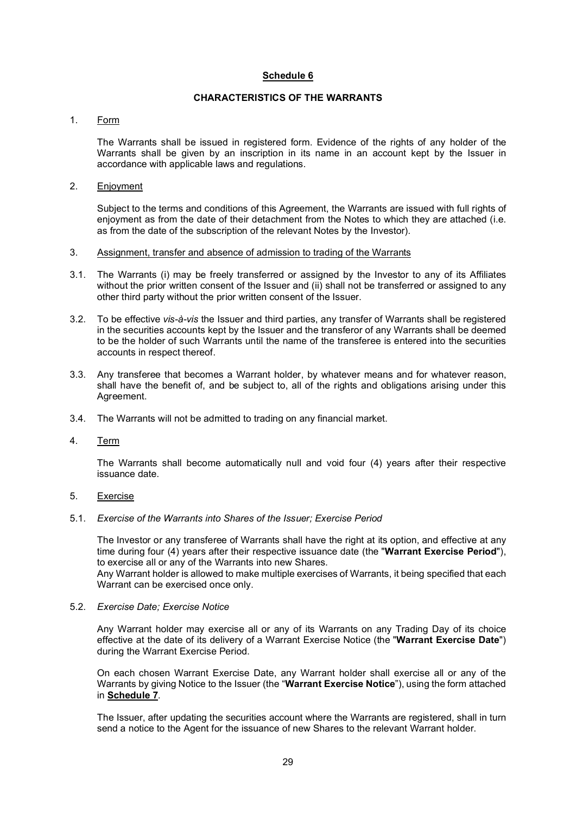# Schedule 6

## CHARACTERISTICS OF THE WARRANTS

#### 1. Form

The Warrants shall be issued in registered form. Evidence of the rights of any holder of the Warrants shall be given by an inscription in its name in an account kept by the Issuer in accordance with applicable laws and regulations.

## 2. Enjoyment

Subject to the terms and conditions of this Agreement, the Warrants are issued with full rights of enjoyment as from the date of their detachment from the Notes to which they are attached (i.e. as from the date of the subscription of the relevant Notes by the Investor).

- 3. Assignment, transfer and absence of admission to trading of the Warrants
- 3.1. The Warrants (i) may be freely transferred or assigned by the Investor to any of its Affiliates without the prior written consent of the Issuer and (ii) shall not be transferred or assigned to any other third party without the prior written consent of the Issuer.
- 3.2. To be effective vis-à-vis the Issuer and third parties, any transfer of Warrants shall be registered in the securities accounts kept by the Issuer and the transferor of any Warrants shall be deemed to be the holder of such Warrants until the name of the transferee is entered into the securities accounts in respect thereof.
- 3.3. Any transferee that becomes a Warrant holder, by whatever means and for whatever reason, shall have the benefit of, and be subject to, all of the rights and obligations arising under this Agreement.
- 3.4. The Warrants will not be admitted to trading on any financial market.
- 4. Term

The Warrants shall become automatically null and void four (4) years after their respective issuance date.

- 5. Exercise
- 5.1. Exercise of the Warrants into Shares of the Issuer; Exercise Period

The Investor or any transferee of Warrants shall have the right at its option, and effective at any time during four (4) years after their respective issuance date (the "Warrant Exercise Period"), to exercise all or any of the Warrants into new Shares.

Any Warrant holder is allowed to make multiple exercises of Warrants, it being specified that each Warrant can be exercised once only.

5.2. Exercise Date; Exercise Notice

Any Warrant holder may exercise all or any of its Warrants on any Trading Day of its choice effective at the date of its delivery of a Warrant Exercise Notice (the "Warrant Exercise Date") during the Warrant Exercise Period.

On each chosen Warrant Exercise Date, any Warrant holder shall exercise all or any of the Warrants by giving Notice to the Issuer (the "Warrant Exercise Notice"), using the form attached in Schedule 7.

The Issuer, after updating the securities account where the Warrants are registered, shall in turn send a notice to the Agent for the issuance of new Shares to the relevant Warrant holder.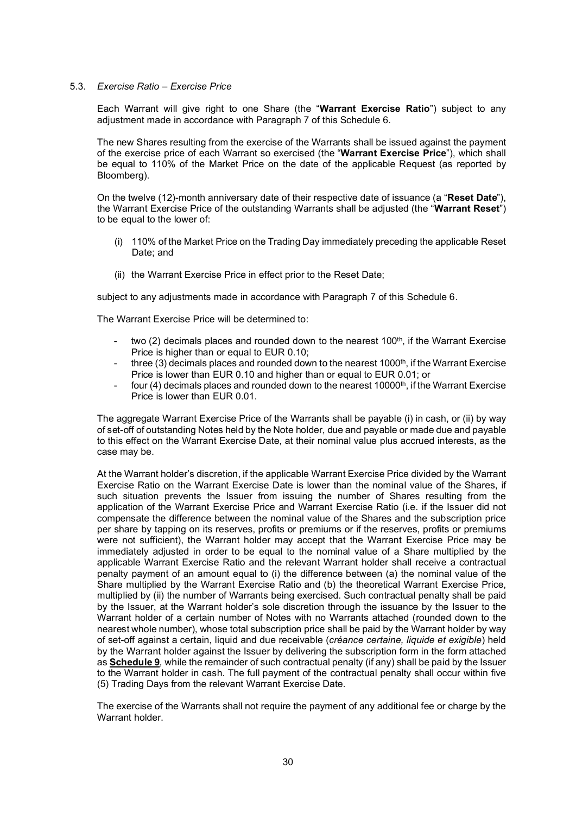#### 5.3. Exercise Ratio – Exercise Price

Each Warrant will give right to one Share (the "Warrant Exercise Ratio") subject to any adjustment made in accordance with Paragraph 7 of this Schedule 6.

The new Shares resulting from the exercise of the Warrants shall be issued against the payment of the exercise price of each Warrant so exercised (the "Warrant Exercise Price"), which shall be equal to 110% of the Market Price on the date of the applicable Request (as reported by Bloomberg).

On the twelve (12)-month anniversary date of their respective date of issuance (a "Reset Date"), the Warrant Exercise Price of the outstanding Warrants shall be adjusted (the "Warrant Reset") to be equal to the lower of:

- (i) 110% of the Market Price on the Trading Day immediately preceding the applicable Reset Date; and
- (ii) the Warrant Exercise Price in effect prior to the Reset Date;

subject to any adjustments made in accordance with Paragraph 7 of this Schedule 6.

The Warrant Exercise Price will be determined to:

- two (2) decimals places and rounded down to the nearest  $100<sup>th</sup>$ , if the Warrant Exercise Price is higher than or equal to EUR 0.10;
- three (3) decimals places and rounded down to the nearest  $1000<sup>th</sup>$ , if the Warrant Exercise Price is lower than EUR 0.10 and higher than or equal to EUR 0.01; or
- four (4) decimals places and rounded down to the nearest 10000<sup>th</sup>, if the Warrant Exercise Price is lower than EUR 0.01.

The aggregate Warrant Exercise Price of the Warrants shall be payable (i) in cash, or (ii) by way of set-off of outstanding Notes held by the Note holder, due and payable or made due and payable to this effect on the Warrant Exercise Date, at their nominal value plus accrued interests, as the case may be.

At the Warrant holder's discretion, if the applicable Warrant Exercise Price divided by the Warrant Exercise Ratio on the Warrant Exercise Date is lower than the nominal value of the Shares, if such situation prevents the Issuer from issuing the number of Shares resulting from the application of the Warrant Exercise Price and Warrant Exercise Ratio (i.e. if the Issuer did not compensate the difference between the nominal value of the Shares and the subscription price per share by tapping on its reserves, profits or premiums or if the reserves, profits or premiums were not sufficient), the Warrant holder may accept that the Warrant Exercise Price may be immediately adjusted in order to be equal to the nominal value of a Share multiplied by the applicable Warrant Exercise Ratio and the relevant Warrant holder shall receive a contractual penalty payment of an amount equal to (i) the difference between (a) the nominal value of the Share multiplied by the Warrant Exercise Ratio and (b) the theoretical Warrant Exercise Price, multiplied by (ii) the number of Warrants being exercised. Such contractual penalty shall be paid by the Issuer, at the Warrant holder's sole discretion through the issuance by the Issuer to the Warrant holder of a certain number of Notes with no Warrants attached (rounded down to the nearest whole number), whose total subscription price shall be paid by the Warrant holder by way of set-off against a certain, liquid and due receivable (créance certaine, liquide et exigible) held by the Warrant holder against the Issuer by delivering the subscription form in the form attached as Schedule 9, while the remainder of such contractual penalty (if any) shall be paid by the Issuer to the Warrant holder in cash. The full payment of the contractual penalty shall occur within five (5) Trading Days from the relevant Warrant Exercise Date.

The exercise of the Warrants shall not require the payment of any additional fee or charge by the Warrant holder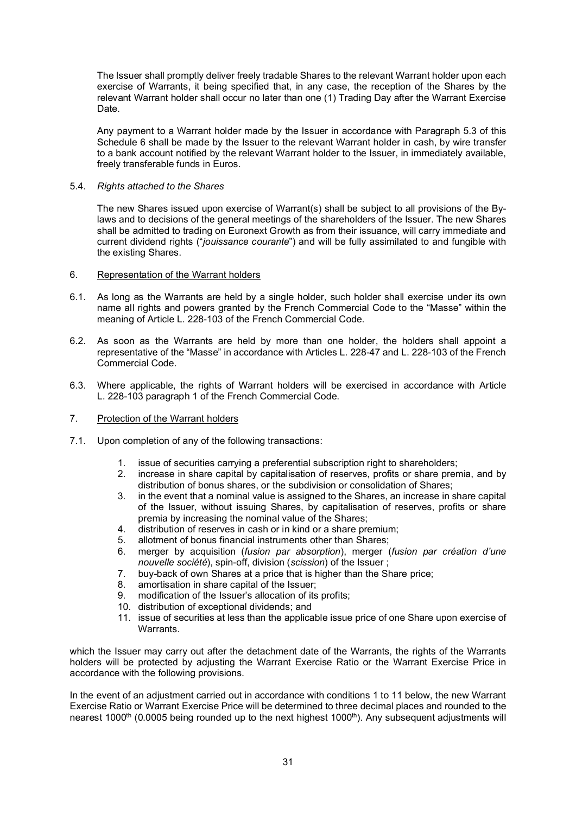The Issuer shall promptly deliver freely tradable Shares to the relevant Warrant holder upon each exercise of Warrants, it being specified that, in any case, the reception of the Shares by the relevant Warrant holder shall occur no later than one (1) Trading Day after the Warrant Exercise Date.

Any payment to a Warrant holder made by the Issuer in accordance with Paragraph 5.3 of this Schedule 6 shall be made by the Issuer to the relevant Warrant holder in cash, by wire transfer to a bank account notified by the relevant Warrant holder to the Issuer, in immediately available, freely transferable funds in Euros.

#### 5.4. Rights attached to the Shares

The new Shares issued upon exercise of Warrant(s) shall be subject to all provisions of the Bylaws and to decisions of the general meetings of the shareholders of the Issuer. The new Shares shall be admitted to trading on Euronext Growth as from their issuance, will carry immediate and current dividend rights ("jouissance courante") and will be fully assimilated to and fungible with the existing Shares.

## 6. Representation of the Warrant holders

- 6.1. As long as the Warrants are held by a single holder, such holder shall exercise under its own name all rights and powers granted by the French Commercial Code to the "Masse" within the meaning of Article L. 228-103 of the French Commercial Code.
- 6.2. As soon as the Warrants are held by more than one holder, the holders shall appoint a representative of the "Masse" in accordance with Articles L. 228-47 and L. 228-103 of the French Commercial Code.
- 6.3. Where applicable, the rights of Warrant holders will be exercised in accordance with Article L. 228-103 paragraph 1 of the French Commercial Code.
- 7. Protection of the Warrant holders
- 7.1. Upon completion of any of the following transactions:
	- 1. issue of securities carrying a preferential subscription right to shareholders;<br>2. increase in share capital by capitalisation of reserves, profits or share pren
	- 2. increase in share capital by capitalisation of reserves, profits or share premia, and by distribution of bonus shares, or the subdivision or consolidation of Shares;
	- 3. in the event that a nominal value is assigned to the Shares, an increase in share capital of the Issuer, without issuing Shares, by capitalisation of reserves, profits or share premia by increasing the nominal value of the Shares;
	- 4. distribution of reserves in cash or in kind or a share premium;
	- 5. allotment of bonus financial instruments other than Shares;
	- 6. merger by acquisition (fusion par absorption), merger (fusion par création d'une nouvelle société), spin-off, division (scission) of the Issuer ;
	- 7. buy-back of own Shares at a price that is higher than the Share price;
	- amortisation in share capital of the Issuer;
	- 9. modification of the Issuer's allocation of its profits;
	- 10. distribution of exceptional dividends; and
	- 11. issue of securities at less than the applicable issue price of one Share upon exercise of Warrants.

which the Issuer may carry out after the detachment date of the Warrants, the rights of the Warrants holders will be protected by adjusting the Warrant Exercise Ratio or the Warrant Exercise Price in accordance with the following provisions.

In the event of an adjustment carried out in accordance with conditions 1 to 11 below, the new Warrant Exercise Ratio or Warrant Exercise Price will be determined to three decimal places and rounded to the nearest 1000<sup>th</sup> (0.0005 being rounded up to the next highest 1000<sup>th</sup>). Any subsequent adjustments will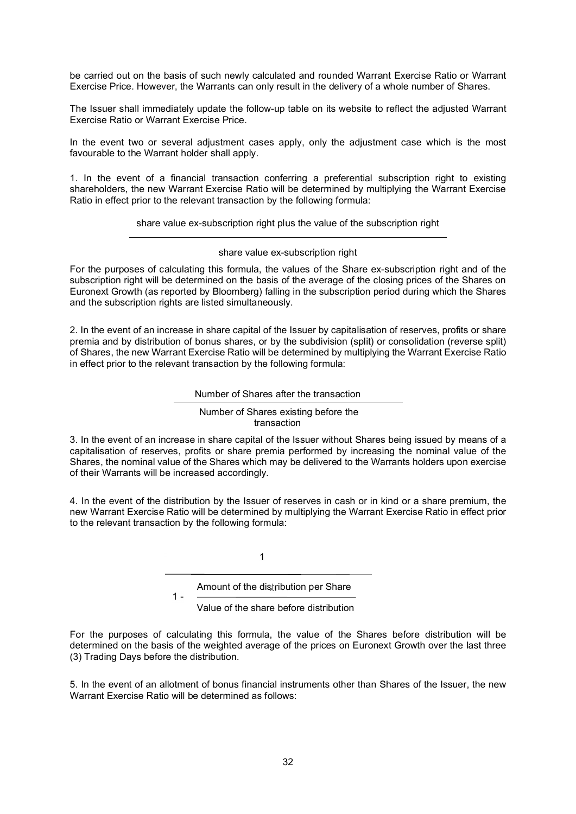be carried out on the basis of such newly calculated and rounded Warrant Exercise Ratio or Warrant Exercise Price. However, the Warrants can only result in the delivery of a whole number of Shares.

The Issuer shall immediately update the follow-up table on its website to reflect the adjusted Warrant Exercise Ratio or Warrant Exercise Price.

In the event two or several adjustment cases apply, only the adjustment case which is the most favourable to the Warrant holder shall apply.

1. In the event of a financial transaction conferring a preferential subscription right to existing shareholders, the new Warrant Exercise Ratio will be determined by multiplying the Warrant Exercise Ratio in effect prior to the relevant transaction by the following formula:

share value ex-subscription right plus the value of the subscription right

share value ex-subscription right

For the purposes of calculating this formula, the values of the Share ex-subscription right and of the subscription right will be determined on the basis of the average of the closing prices of the Shares on Euronext Growth (as reported by Bloomberg) falling in the subscription period during which the Shares and the subscription rights are listed simultaneously.

2. In the event of an increase in share capital of the Issuer by capitalisation of reserves, profits or share premia and by distribution of bonus shares, or by the subdivision (split) or consolidation (reverse split) of Shares, the new Warrant Exercise Ratio will be determined by multiplying the Warrant Exercise Ratio in effect prior to the relevant transaction by the following formula:

Number of Shares after the transaction

 Number of Shares existing before the transaction

3. In the event of an increase in share capital of the Issuer without Shares being issued by means of a capitalisation of reserves, profits or share premia performed by increasing the nominal value of the Shares, the nominal value of the Shares which may be delivered to the Warrants holders upon exercise of their Warrants will be increased accordingly.

4. In the event of the distribution by the Issuer of reserves in cash or in kind or a share premium, the new Warrant Exercise Ratio will be determined by multiplying the Warrant Exercise Ratio in effect prior to the relevant transaction by the following formula:

1

 $1 -$ 

Amount of the distribution per Share

Value of the share before distribution

For the purposes of calculating this formula, the value of the Shares before distribution will be determined on the basis of the weighted average of the prices on Euronext Growth over the last three (3) Trading Days before the distribution.

5. In the event of an allotment of bonus financial instruments other than Shares of the Issuer, the new Warrant Exercise Ratio will be determined as follows: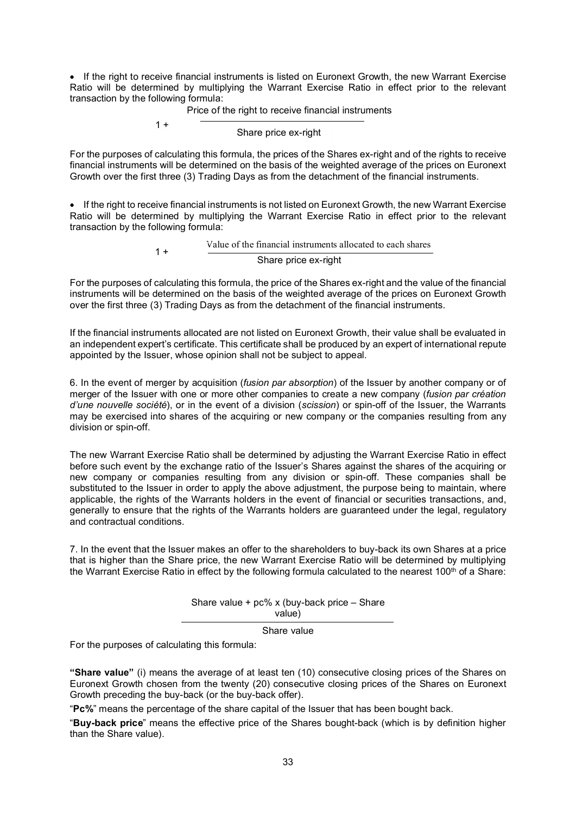• If the right to receive financial instruments is listed on Euronext Growth, the new Warrant Exercise Ratio will be determined by multiplying the Warrant Exercise Ratio in effect prior to the relevant transaction by the following formula:

Price of the right to receive financial instruments

 $1 +$ 

Share price ex-right

For the purposes of calculating this formula, the prices of the Shares ex-right and of the rights to receive financial instruments will be determined on the basis of the weighted average of the prices on Euronext Growth over the first three (3) Trading Days as from the detachment of the financial instruments.

• If the right to receive financial instruments is not listed on Euronext Growth, the new Warrant Exercise Ratio will be determined by multiplying the Warrant Exercise Ratio in effect prior to the relevant transaction by the following formula:

> Value of the financial instruments allocated to each shares  $1 +$ Share price ex-right

For the purposes of calculating this formula, the price of the Shares ex-right and the value of the financial instruments will be determined on the basis of the weighted average of the prices on Euronext Growth over the first three (3) Trading Days as from the detachment of the financial instruments.

If the financial instruments allocated are not listed on Euronext Growth, their value shall be evaluated in an independent expert's certificate. This certificate shall be produced by an expert of international repute appointed by the Issuer, whose opinion shall not be subject to appeal.

6. In the event of merger by acquisition (fusion par absorption) of the Issuer by another company or of merger of the Issuer with one or more other companies to create a new company (fusion par création d'une nouvelle société), or in the event of a division (scission) or spin-off of the Issuer, the Warrants may be exercised into shares of the acquiring or new company or the companies resulting from any division or spin-off.

The new Warrant Exercise Ratio shall be determined by adjusting the Warrant Exercise Ratio in effect before such event by the exchange ratio of the Issuer's Shares against the shares of the acquiring or new company or companies resulting from any division or spin-off. These companies shall be substituted to the Issuer in order to apply the above adjustment, the purpose being to maintain, where applicable, the rights of the Warrants holders in the event of financial or securities transactions, and, generally to ensure that the rights of the Warrants holders are guaranteed under the legal, regulatory and contractual conditions.

7. In the event that the Issuer makes an offer to the shareholders to buy-back its own Shares at a price that is higher than the Share price, the new Warrant Exercise Ratio will be determined by multiplying the Warrant Exercise Ratio in effect by the following formula calculated to the nearest 100<sup>th</sup> of a Share:

> Share value + pc% x (buy-back price – Share value)

> > Share value

For the purposes of calculating this formula:

"Share value" (i) means the average of at least ten (10) consecutive closing prices of the Shares on Euronext Growth chosen from the twenty (20) consecutive closing prices of the Shares on Euronext Growth preceding the buy-back (or the buy-back offer).

"Pc%" means the percentage of the share capital of the Issuer that has been bought back.

"Buy-back price" means the effective price of the Shares bought-back (which is by definition higher than the Share value).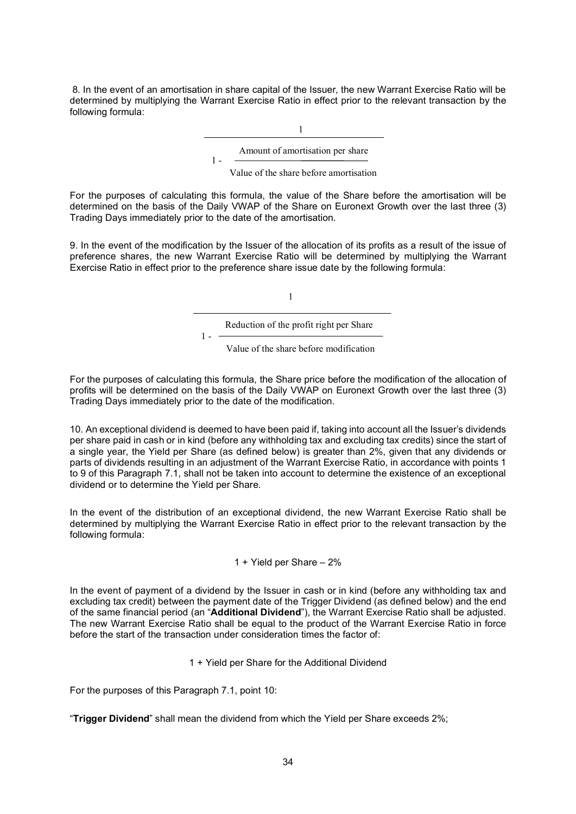8. In the event of an amortisation in share capital of the Issuer, the new Warrant Exercise Ratio will be determined by multiplying the Warrant Exercise Ratio in effect prior to the relevant transaction by the following formula:

> 1 1 - Amount of amortisation per share

> > Value of the share before amortisation

For the purposes of calculating this formula, the value of the Share before the amortisation will be determined on the basis of the Daily VWAP of the Share on Euronext Growth over the last three (3) Trading Days immediately prior to the date of the amortisation.

9. In the event of the modification by the Issuer of the allocation of its profits as a result of the issue of preference shares, the new Warrant Exercise Ratio will be determined by multiplying the Warrant Exercise Ratio in effect prior to the preference share issue date by the following formula:

1

Reduction of the profit right per Share

 $1 -$ 

Value of the share before modification

For the purposes of calculating this formula, the Share price before the modification of the allocation of profits will be determined on the basis of the Daily VWAP on Euronext Growth over the last three (3) Trading Days immediately prior to the date of the modification.

10. An exceptional dividend is deemed to have been paid if, taking into account all the Issuer's dividends per share paid in cash or in kind (before any withholding tax and excluding tax credits) since the start of a single year, the Yield per Share (as defined below) is greater than 2%, given that any dividends or parts of dividends resulting in an adjustment of the Warrant Exercise Ratio, in accordance with points 1 to 9 of this Paragraph 7.1, shall not be taken into account to determine the existence of an exceptional dividend or to determine the Yield per Share.

In the event of the distribution of an exceptional dividend, the new Warrant Exercise Ratio shall be determined by multiplying the Warrant Exercise Ratio in effect prior to the relevant transaction by the following formula:

1 + Yield per Share – 2%

In the event of payment of a dividend by the Issuer in cash or in kind (before any withholding tax and excluding tax credit) between the payment date of the Trigger Dividend (as defined below) and the end of the same financial period (an "Additional Dividend"), the Warrant Exercise Ratio shall be adjusted. The new Warrant Exercise Ratio shall be equal to the product of the Warrant Exercise Ratio in force before the start of the transaction under consideration times the factor of:

1 + Yield per Share for the Additional Dividend

For the purposes of this Paragraph 7.1, point 10:

"Trigger Dividend" shall mean the dividend from which the Yield per Share exceeds 2%;